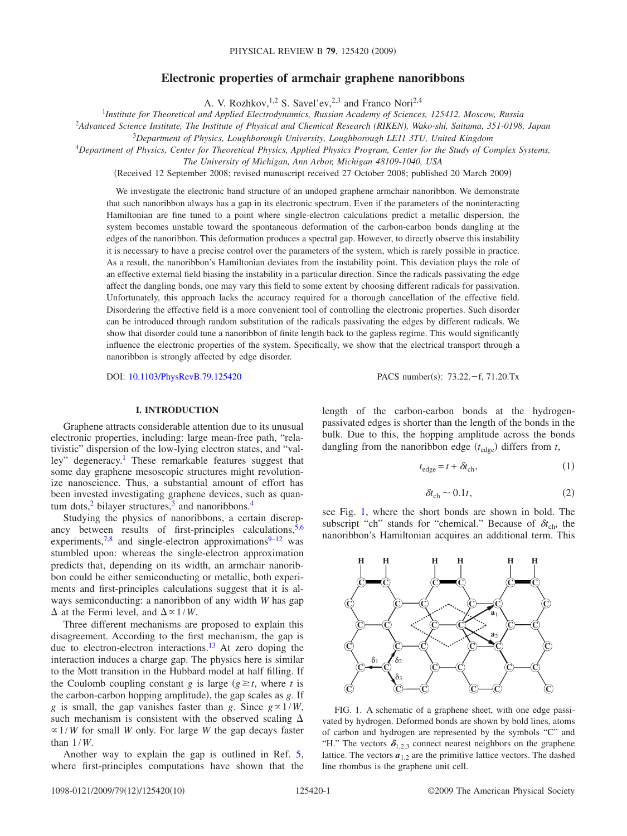# **Electronic properties of armchair graphene nanoribbons**

A. V. Rozhkov,<sup>1,2</sup> S. Savel'ev,<sup>2,3</sup> and Franco Nori<sup>2,4</sup>

1 *Institute for Theoretical and Applied Electrodynamics, Russian Academy of Sciences, 125412, Moscow, Russia*

2 *Advanced Science Institute, The Institute of Physical and Chemical Research (RIKEN), Wako-shi, Saitama, 351-0198, Japan*

<sup>3</sup>*Department of Physics, Loughborough University, Loughborough LE11 3TU, United Kingdom*

<sup>4</sup>*Department of Physics, Center for Theoretical Physics, Applied Physics Program, Center for the Study of Complex Systems,*

*The University of Michigan, Ann Arbor, Michigan 48109-1040, USA*

Received 12 September 2008; revised manuscript received 27 October 2008; published 20 March 2009-

We investigate the electronic band structure of an undoped graphene armchair nanoribbon. We demonstrate that such nanoribbon always has a gap in its electronic spectrum. Even if the parameters of the noninteracting Hamiltonian are fine tuned to a point where single-electron calculations predict a metallic dispersion, the system becomes unstable toward the spontaneous deformation of the carbon-carbon bonds dangling at the edges of the nanoribbon. This deformation produces a spectral gap. However, to directly observe this instability it is necessary to have a precise control over the parameters of the system, which is rarely possible in practice. As a result, the nanoribbon's Hamiltonian deviates from the instability point. This deviation plays the role of an effective external field biasing the instability in a particular direction. Since the radicals passivating the edge affect the dangling bonds, one may vary this field to some extent by choosing different radicals for passivation. Unfortunately, this approach lacks the accuracy required for a thorough cancellation of the effective field. Disordering the effective field is a more convenient tool of controlling the electronic properties. Such disorder can be introduced through random substitution of the radicals passivating the edges by different radicals. We show that disorder could tune a nanoribbon of finite length back to the gapless regime. This would significantly influence the electronic properties of the system. Specifically, we show that the electrical transport through a nanoribbon is strongly affected by edge disorder.

DOI: [10.1103/PhysRevB.79.125420](http://dx.doi.org/10.1103/PhysRevB.79.125420)

PACS number(s):  $73.22.-f, 71.20.Tx$ 

### **I. INTRODUCTION**

<span id="page-0-1"></span>Graphene attracts considerable attention due to its unusual electronic properties, including: large mean-free path, "relativistic" dispersion of the low-lying electron states, and "valley" degeneracy.<sup>1</sup> These remarkable features suggest that some day graphene mesoscopic structures might revolutionize nanoscience. Thus, a substantial amount of effort has been invested investigating graphene devices, such as quantum dots, $2$  bilayer structures, $3$  and nanoribbons. $4$ 

Studying the physics of nanoribbons, a certain discrepancy between results of first-principles calculations,  $5,6$  $5,6$ experiments,<sup>7[,8](#page-9-7)</sup> and single-electron approximations<sup>9[–12](#page-9-9)</sup> was stumbled upon: whereas the single-electron approximation predicts that, depending on its width, an armchair nanoribbon could be either semiconducting or metallic, both experiments and first-principles calculations suggest that it is always semiconducting: a nanoribbon of any width *W* has gap  $\Delta$  at the Fermi level, and  $\Delta \propto 1/W$ .

Three different mechanisms are proposed to explain this disagreement. According to the first mechanism, the gap is due to electron-electron interactions.<sup>13</sup> At zero doping the interaction induces a charge gap. The physics here is similar to the Mott transition in the Hubbard model at half filling. If the Coulomb coupling constant *g* is large  $(g \ge t$ , where *t* is the carbon-carbon hopping amplitude), the gap scales as *g*. If *g* is small, the gap vanishes faster than *g*. Since  $g \propto 1/W$ , such mechanism is consistent with the observed scaling  $\Delta$  $\propto$  1/*W* for small *W* only. For large *W* the gap decays faster than 1/*W*.

Another way to explain the gap is outlined in Ref. [5,](#page-9-4) where first-principles computations have shown that the length of the carbon-carbon bonds at the hydrogenpassivated edges is shorter than the length of the bonds in the bulk. Due to this, the hopping amplitude across the bonds dangling from the nanoribbon edge  $(t_{\text{edge}})$  differs from  $t$ ,

$$
t_{\rm edge} = t + \delta t_{\rm ch},\tag{1}
$$

$$
\delta t_{\rm ch} \sim 0.1t,\tag{2}
$$

see Fig. [1,](#page-0-0) where the short bonds are shown in bold. The subscript "ch" stands for "chemical." Because of  $\delta t_{ch}$ , the nanoribbon's Hamiltonian acquires an additional term. This

<span id="page-0-0"></span>

FIG. 1. A schematic of a graphene sheet, with one edge passivated by hydrogen. Deformed bonds are shown by bold lines, atoms of carbon and hydrogen are represented by the symbols "C" and "H." The vectors  $\delta_{1,2,3}$  connect nearest neighbors on the graphene lattice. The vectors  $a_{1,2}$  are the primitive lattice vectors. The dashed line rhombus is the graphene unit cell.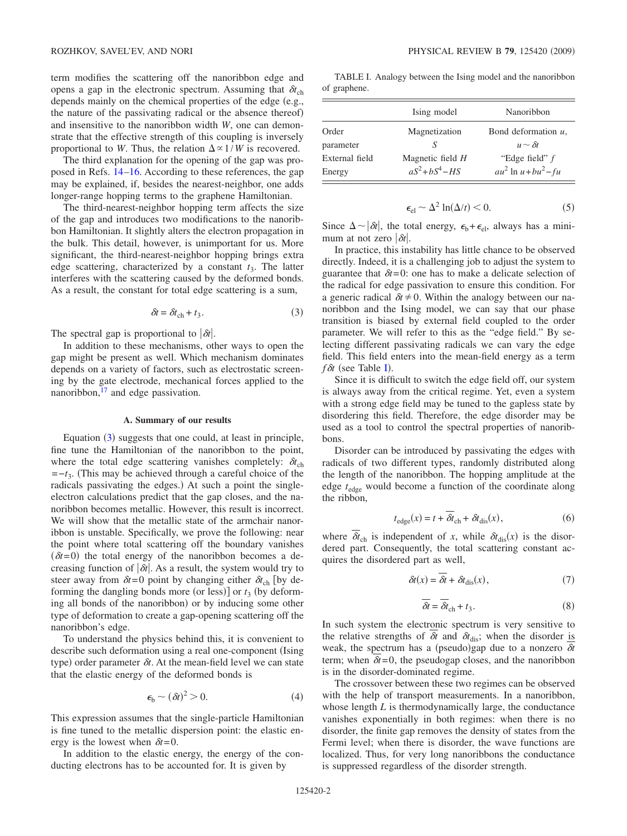term modifies the scattering off the nanoribbon edge and opens a gap in the electronic spectrum. Assuming that  $\delta t_{ch}$ depends mainly on the chemical properties of the edge  $(e.g.,)$ the nature of the passivating radical or the absence thereof) and insensitive to the nanoribbon width *W*, one can demonstrate that the effective strength of this coupling is inversely proportional to *W*. Thus, the relation  $\Delta \propto 1/W$  is recovered.

The third explanation for the opening of the gap was proposed in Refs. [14](#page-9-11)[–16.](#page-9-12) According to these references, the gap may be explained, if, besides the nearest-neighbor, one adds longer-range hopping terms to the graphene Hamiltonian.

The third-nearest-neighbor hopping term affects the size of the gap and introduces two modifications to the nanoribbon Hamiltonian. It slightly alters the electron propagation in the bulk. This detail, however, is unimportant for us. More significant, the third-nearest-neighbor hopping brings extra edge scattering, characterized by a constant  $t_3$ . The latter interferes with the scattering caused by the deformed bonds. As a result, the constant for total edge scattering is a sum,

$$
\delta t = \delta t_{\rm ch} + t_3. \tag{3}
$$

<span id="page-1-0"></span>The spectral gap is proportional to  $|\delta t|$ .

In addition to these mechanisms, other ways to open the gap might be present as well. Which mechanism dominates depends on a variety of factors, such as electrostatic screening by the gate electrode, mechanical forces applied to the nanoribbon, $^{17}$  and edge passivation.

### **A. Summary of our results**

Equation ([3](#page-1-0)) suggests that one could, at least in principle, fine tune the Hamiltonian of the nanoribbon to the point, where the total edge scattering vanishes completely:  $\delta t_{ch}$ =−*t*3. This may be achieved through a careful choice of the radicals passivating the edges.) At such a point the singleelectron calculations predict that the gap closes, and the nanoribbon becomes metallic. However, this result is incorrect. We will show that the metallic state of the armchair nanoribbon is unstable. Specifically, we prove the following: near the point where total scattering off the boundary vanishes  $(\delta t = 0)$  the total energy of the nanoribbon becomes a decreasing function of  $|\delta t|$ . As a result, the system would try to steer away from  $\delta t = 0$  point by changing either  $\delta t_{ch}$  [by deforming the dangling bonds more (or less)] or  $t_3$  (by deforming all bonds of the nanoribbon) or by inducing some other type of deformation to create a gap-opening scattering off the nanoribbon's edge.

To understand the physics behind this, it is convenient to describe such deformation using a real one-component (Ising type) order parameter  $\delta t$ . At the mean-field level we can state that the elastic energy of the deformed bonds is

$$
\epsilon_{\rm b} \sim (\delta t)^2 > 0. \tag{4}
$$

<span id="page-1-2"></span>This expression assumes that the single-particle Hamiltonian is fine tuned to the metallic dispersion point: the elastic energy is the lowest when  $\delta t = 0$ .

In addition to the elastic energy, the energy of the conducting electrons has to be accounted for. It is given by

TABLE I. Analogy between the Ising model and the nanoribbon of graphene.

<span id="page-1-1"></span>

|                          | Ising model                            | Nanoribbon                                  |
|--------------------------|----------------------------------------|---------------------------------------------|
| Order                    | Magnetization                          | Bond deformation $u$ ,                      |
| parameter                |                                        | $u \sim \delta t$                           |
| External field<br>Energy | Magnetic field H<br>$aS^2 + bS^4 - HS$ | "Edge field" f<br>$au^2$ ln $u + bu^2 - fu$ |

$$
\epsilon_{\rm el} \sim \Delta^2 \ln(\Delta/t) < 0. \tag{5}
$$

Since  $\Delta \sim |\delta t|$ , the total energy,  $\epsilon_b + \epsilon_{el}$ , always has a minimum at not zero  $|\delta t|$ .

In practice, this instability has little chance to be observed directly. Indeed, it is a challenging job to adjust the system to guarantee that  $\delta t = 0$ : one has to make a delicate selection of the radical for edge passivation to ensure this condition. For a generic radical  $\delta t \neq 0$ . Within the analogy between our nanoribbon and the Ising model, we can say that our phase transition is biased by external field coupled to the order parameter. We will refer to this as the "edge field." By selecting different passivating radicals we can vary the edge field. This field enters into the mean-field energy as a term *f*  $\delta t$  (see Table [I](#page-1-1)).

Since it is difficult to switch the edge field off, our system is always away from the critical regime. Yet, even a system with a strong edge field may be tuned to the gapless state by disordering this field. Therefore, the edge disorder may be used as a tool to control the spectral properties of nanoribbons.

Disorder can be introduced by passivating the edges with radicals of two different types, randomly distributed along the length of the nanoribbon. The hopping amplitude at the edge *t*edge would become a function of the coordinate along the ribbon,

$$
t_{\rm edge}(x) = t + \delta t_{\rm ch} + \delta t_{\rm dis}(x),\tag{6}
$$

<span id="page-1-3"></span>where  $\delta t_{ch}$  is independent of *x*, while  $\delta t_{dis}(x)$  is the disordered part. Consequently, the total scattering constant acquires the disordered part as well,

$$
\delta t(x) = \delta t + \delta t_{\text{dis}}(x),\tag{7}
$$

$$
\overline{\delta t} = \overline{\delta t}_{\text{ch}} + t_3. \tag{8}
$$

In such system the electronic spectrum is very sensitive to the relative strengths of  $\delta t$  and  $\delta t_{\text{dis}}$ ; when the disorder is weak, the spectrum has a (pseudo)gap due to a nonzero  $\delta t$ term; when  $\delta t = 0$ , the pseudogap closes, and the nanoribbon is in the disorder-dominated regime.

The crossover between these two regimes can be observed with the help of transport measurements. In a nanoribbon, whose length *L* is thermodynamically large, the conductance vanishes exponentially in both regimes: when there is no disorder, the finite gap removes the density of states from the Fermi level; when there is disorder, the wave functions are localized. Thus, for very long nanoribbons the conductance is suppressed regardless of the disorder strength.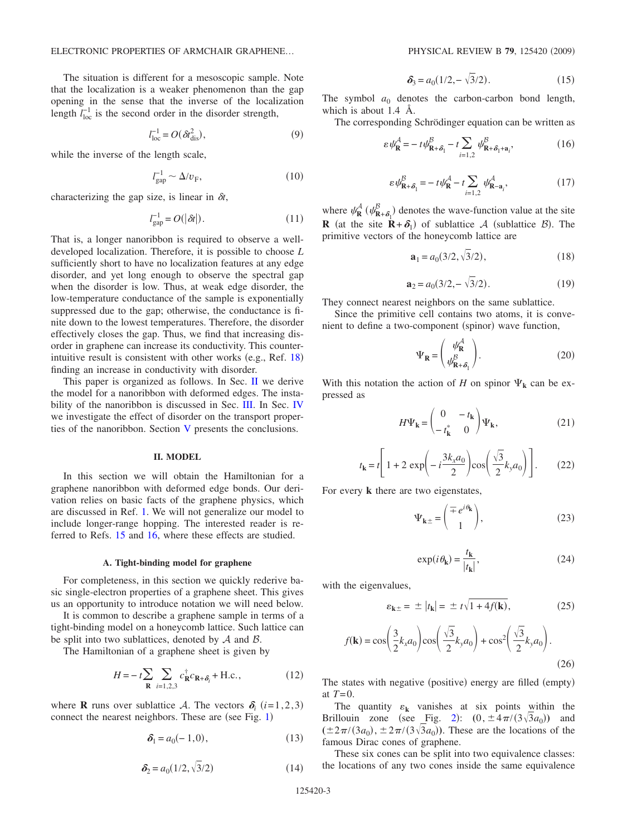The situation is different for a mesoscopic sample. Note that the localization is a weaker phenomenon than the gap opening in the sense that the inverse of the localization length  $l_{\text{loc}}^{-1}$  is the second order in the disorder strength,

$$
l_{\text{loc}}^{-1} = O(\delta t_{\text{dis}}^2),\tag{9}
$$

while the inverse of the length scale,

$$
l_{\rm gap}^{-1} \sim \Delta / v_{\rm F},\tag{10}
$$

<span id="page-2-5"></span>characterizing the gap size, is linear in  $\delta t$ ,

$$
l_{\rm gap}^{-1} = O(|\delta t|). \tag{11}
$$

That is, a longer nanoribbon is required to observe a welldeveloped localization. Therefore, it is possible to choose *L* sufficiently short to have no localization features at any edge disorder, and yet long enough to observe the spectral gap when the disorder is low. Thus, at weak edge disorder, the low-temperature conductance of the sample is exponentially suppressed due to the gap; otherwise, the conductance is finite down to the lowest temperatures. Therefore, the disorder effectively closes the gap. Thus, we find that increasing disorder in graphene can increase its conductivity. This counterintuitive result is consistent with other works (e.g., Ref.  $18$ ) finding an increase in conductivity with disorder.

This paper is organized as follows. In Sec. [II](#page-2-0) we derive the model for a nanoribbon with deformed edges. The insta-bility of the nanoribbon is discussed in Sec. [III.](#page-4-0) In Sec. [IV](#page-6-0) we investigate the effect of disorder on the transport properties of the nanoribbon. Section [V](#page-8-0) presents the conclusions.

# **II. MODEL**

<span id="page-2-0"></span>In this section we will obtain the Hamiltonian for a graphene nanoribbon with deformed edge bonds. Our derivation relies on basic facts of the graphene physics, which are discussed in Ref. [1.](#page-9-0) We will not generalize our model to include longer-range hopping. The interested reader is referred to Refs. [15](#page-9-15) and [16,](#page-9-12) where these effects are studied.

#### **A. Tight-binding model for graphene**

For completeness, in this section we quickly rederive basic single-electron properties of a graphene sheet. This gives us an opportunity to introduce notation we will need below.

It is common to describe a graphene sample in terms of a tight-binding model on a honeycomb lattice. Such lattice can be split into two sublattices, denoted by  $A$  and  $B$ .

The Hamiltonian of a graphene sheet is given by

$$
H = -t\sum_{\mathbf{R}} \sum_{i=1,2,3} c_{\mathbf{R}}^{\dagger} c_{\mathbf{R} + \delta_i} + \text{H.c.},\tag{12}
$$

<span id="page-2-3"></span>where **R** runs over sublattice A. The vectors  $\delta_i$  (*i*=1,2,3) connect the nearest neighbors. These are (see Fig. [1](#page-0-0))

$$
\delta_1 = a_0(-1,0),\tag{13}
$$

$$
\delta_2 = a_0(1/2, \sqrt{3}/2) \tag{14}
$$

$$
\delta_3 = a_0(1/2, -\sqrt{3}/2). \tag{15}
$$

The symbol  $a_0$  denotes the carbon-carbon bond length, which is about 1.4 Å.

<span id="page-2-1"></span>The corresponding Schrödinger equation can be written as

$$
\varepsilon \psi_{\mathbf{R}}^{\mathcal{A}} = -t\psi_{\mathbf{R}+\delta_1}^{\mathcal{B}} - t\sum_{i=1,2} \psi_{\mathbf{R}+\delta_1 + \mathbf{a}_i}^{\mathcal{B}},\tag{16}
$$

$$
\varepsilon \psi_{\mathbf{R} + \delta_1}^{\beta} = -t \psi_{\mathbf{R}}^{\beta} - t \sum_{i=1,2} \psi_{\mathbf{R} - \mathbf{a}_i}^{\beta},\tag{17}
$$

<span id="page-2-2"></span>where  $\psi_{\mathbf{R}}^{\mathcal{A}}$  ( $\psi_{\mathbf{R}+\delta_1}^{\mathcal{B}}$ ) denotes the wave-function value at the site **R** (at the site **R**+ $\delta$ <sub>1</sub>) of sublattice A (sublattice B). The primitive vectors of the honeycomb lattice are

$$
\mathbf{a}_1 = a_0(3/2, \sqrt{3}/2),\tag{18}
$$

$$
\mathbf{a}_2 = a_0(3/2, -\sqrt{3}/2). \tag{19}
$$

They connect nearest neighbors on the same sublattice.

Since the primitive cell contains two atoms, it is convenient to define a two-component (spinor) wave function,

$$
\Psi_{\mathbf{R}} = \begin{pmatrix} \psi_{\mathbf{R}}^{\mathcal{A}} \\ \psi_{\mathbf{R} + \delta_1}^{\mathcal{B}} \end{pmatrix} . \tag{20}
$$

With this notation the action of *H* on spinor  $\Psi_k$  can be expressed as

$$
H\Psi_{\mathbf{k}} = \begin{pmatrix} 0 & -t_{\mathbf{k}} \\ -t_{\mathbf{k}}^* & 0 \end{pmatrix} \Psi_{\mathbf{k}},\tag{21}
$$

$$
t_{\mathbf{k}} = t \left[ 1 + 2 \exp\left( -i \frac{3k_x a_0}{2} \right) \cos\left( \frac{\sqrt{3}}{2} k_y a_0 \right) \right].
$$
 (22)

For every **k** there are two eigenstates,

$$
\Psi_{\mathbf{k}\pm} = \begin{pmatrix} \mp e^{i\theta_{\mathbf{k}}}\\ 1 \end{pmatrix},\tag{23}
$$

$$
\exp(i\,\theta_{\mathbf{k}}) = \frac{t_{\mathbf{k}}}{|t_{\mathbf{k}}|},\tag{24}
$$

with the eigenvalues,

$$
\varepsilon_{\mathbf{k}\pm} = \pm |t_{\mathbf{k}}| = \pm t\sqrt{1 + 4f(\mathbf{k})},\tag{25}
$$

<span id="page-2-4"></span>
$$
f(\mathbf{k}) = \cos\left(\frac{3}{2}k_x a_0\right) \cos\left(\frac{\sqrt{3}}{2}k_y a_0\right) + \cos^2\left(\frac{\sqrt{3}}{2}k_y a_0\right). \tag{26}
$$

The states with negative (positive) energy are filled (empty) at *T*=0.

The quantity  $\varepsilon_k$  vanishes at six points within the Brillouin zone (see Fig. [2](#page-3-0)):  $(0, \pm 4\pi/(3\sqrt{3}a_0))$  and  $(\pm 2\pi/(3a_0), \pm 2\pi/(3\sqrt{3}a_0))$ . These are the locations of the famous Dirac cones of graphene.

These six cones can be split into two equivalence classes: the locations of any two cones inside the same equivalence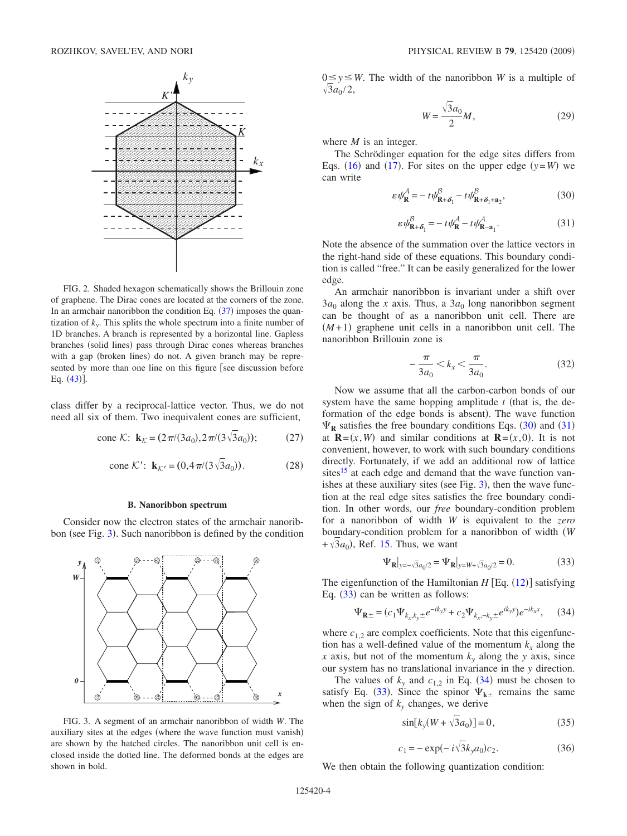<span id="page-3-0"></span>

FIG. 2. Shaded hexagon schematically shows the Brillouin zone of graphene. The Dirac cones are located at the corners of the zone. In an armchair nanoribbon the condition Eq.  $(37)$  $(37)$  $(37)$  imposes the quantization of  $k_y$ . This splits the whole spectrum into a finite number of 1D branches. A branch is represented by a horizontal line. Gapless branches (solid lines) pass through Dirac cones whereas branches with a gap (broken lines) do not. A given branch may be represented by more than one line on this figure [see discussion before Eq.  $(43)$  $(43)$  $(43)$ ].

class differ by a reciprocal-lattice vector. Thus, we do not need all six of them. Two inequivalent cones are sufficient,

cone K: 
$$
\mathbf{k}_{\mathcal{K}} = (2\pi/(3a_0), 2\pi/(3\sqrt{3}a_0));
$$
 (27)

cone K': 
$$
\mathbf{k}_{K'} = (0, 4\pi/(3\sqrt{3}a_0))
$$
. (28)

# **B. Nanoribbon spectrum**

<span id="page-3-7"></span>Consider now the electron states of the armchair nanorib-bon (see Fig. [3](#page-3-1)). Such nanoribbon is defined by the condition

<span id="page-3-1"></span>

FIG. 3. A segment of an armchair nanoribbon of width *W*. The auxiliary sites at the edges (where the wave function must vanish) are shown by the hatched circles. The nanoribbon unit cell is enclosed inside the dotted line. The deformed bonds at the edges are shown in bold.

 $0 \le y \le W$ . The width of the nanoribbon *W* is a multiple of  $\sqrt{3}a_0/2$ ,

$$
W = \frac{\sqrt{3}a_0}{2}M,\tag{29}
$$

where *M* is an integer.

The Schrödinger equation for the edge sites differs from Eqs. ([16](#page-2-1)) and ([17](#page-2-2)). For sites on the upper edge  $(y=W)$  we can write

$$
\varepsilon \psi_{\mathbf{R}}^A = -t \psi_{\mathbf{R} + \delta_1}^B - t \psi_{\mathbf{R} + \delta_1 + \mathbf{a}_2}^B,\tag{30}
$$

$$
\varepsilon \psi_{\mathbf{R} + \delta_1}^{\beta} = -t \psi_{\mathbf{R}}^{\beta} - t \psi_{\mathbf{R} - \mathbf{a}_1}^{\beta}.
$$
 (31)

<span id="page-3-3"></span><span id="page-3-2"></span>Note the absence of the summation over the lattice vectors in the right-hand side of these equations. This boundary condition is called "free." It can be easily generalized for the lower edge.

An armchair nanoribbon is invariant under a shift over  $3a_0$  along the *x* axis. Thus, a  $3a_0$  long nanoribbon segment can be thought of as a nanoribbon unit cell. There are  $(M+1)$  graphene unit cells in a nanoribbon unit cell. The nanoribbon Brillouin zone is

$$
-\frac{\pi}{3a_0} < k_x < \frac{\pi}{3a_0}.\tag{32}
$$

<span id="page-3-6"></span>Now we assume that all the carbon-carbon bonds of our system have the same hopping amplitude  $t$  (that is, the deformation of the edge bonds is absent). The wave function  $\Psi_{\mathbf{R}}$  satisfies the free boundary conditions Eqs. ([30](#page-3-2)) and ([31](#page-3-3)) at  $\mathbf{R} = (x, W)$  and similar conditions at  $\mathbf{R} = (x, 0)$ . It is not convenient, however, to work with such boundary conditions directly. Fortunately, if we add an additional row of lattice sites $15$  at each edge and demand that the wave function vanishes at these auxiliary sites (see Fig.  $3$ ), then the wave function at the real edge sites satisfies the free boundary condition. In other words, our *free* boundary-condition problem for a nanoribbon of width *W* is equivalent to the *zero* boundary-condition problem for a nanoribbon of width *W*  $+\sqrt{3}a_0$ ), Ref. [15.](#page-9-15) Thus, we want

$$
\Psi_{\mathbf{R}}|_{y=-\sqrt{3}a_0/2} = \Psi_{\mathbf{R}}|_{y=W+\sqrt{3}a_0/2} = 0.
$$
 (33)

<span id="page-3-4"></span>The eigenfunction of the Hamiltonian  $H$  [Eq.  $(12)$  $(12)$  $(12)$ ] satisfying Eq.  $(33)$  $(33)$  $(33)$  can be written as follows:

$$
\Psi_{\mathbf{R}\pm} = (c_1 \Psi_{k_x, k_y \pm} e^{-ik_y y} + c_2 \Psi_{k_x, -k_y \pm} e^{ik_y y}) e^{-ik_x x}, \quad (34)
$$

<span id="page-3-5"></span>where  $c_{1,2}$  are complex coefficients. Note that this eigenfunction has a well-defined value of the momentum  $k_x$  along the *x* axis, but not of the momentum  $k_y$  along the *y* axis, since our system has no translational invariance in the *y* direction.

The values of  $k_y$  and  $c_{1,2}$  in Eq. ([34](#page-3-5)) must be chosen to satisfy Eq. ([33](#page-3-4)). Since the spinor  $\Psi_{k\pm}$  remains the same when the sign of  $k_y$  changes, we derive

$$
\sin[k_y(W + \sqrt{3}a_0)] = 0,\t(35)
$$

$$
c_1 = -\exp(-i\sqrt{3}k_y a_0)c_2.
$$
 (36)

We then obtain the following quantization condition: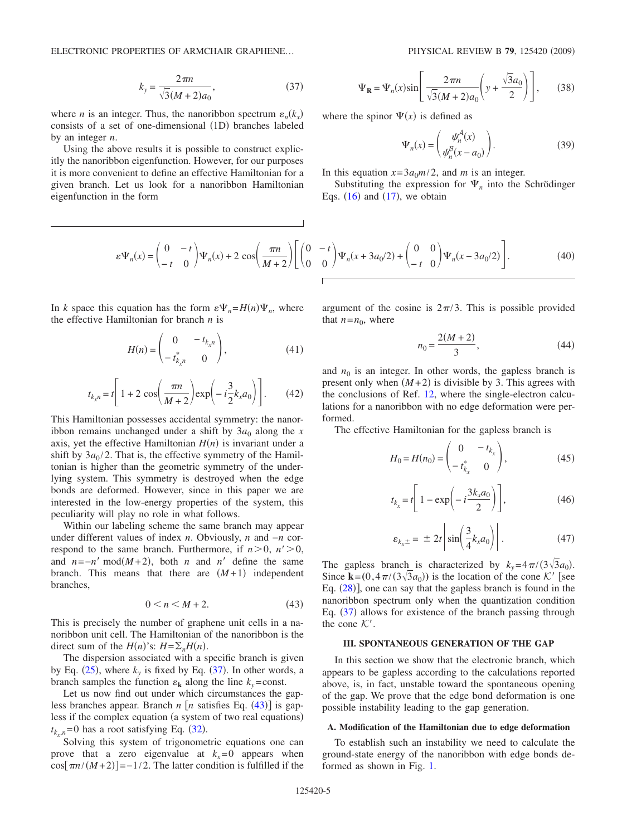ELECTRONIC PROPERTIES OF ARMCHAIR GRAPHENE...

$$
k_{y} = \frac{2\pi n}{\sqrt{3}(M+2)a_{0}},
$$
\n(37)

<span id="page-4-1"></span>where *n* is an integer. Thus, the nanoribbon spectrum  $\varepsilon_n(k_x)$ consists of a set of one-dimensional (1D) branches labeled by an integer *n*.

Using the above results it is possible to construct explicitly the nanoribbon eigenfunction. However, for our purposes it is more convenient to define an effective Hamiltonian for a given branch. Let us look for a nanoribbon Hamiltonian eigenfunction in the form

$$
\varepsilon \Psi_n(x) = \begin{pmatrix} 0 & -t \\ -t & 0 \end{pmatrix} \Psi_n(x) + 2 \cos \left( \frac{\pi n}{M+2} \right) \left[ \begin{pmatrix} 0 \\ 0 \end{pmatrix} \right]
$$

In *k* space this equation has the form  $\epsilon \Psi_n = H(n) \Psi_n$ , where the effective Hamiltonian for branch *n* is

$$
H(n) = \begin{pmatrix} 0 & -t_{k_x n} \\ -t_{k_x n}^* & 0 \end{pmatrix},
$$
 (41)

$$
t_{k_x n} = t \left[ 1 + 2 \cos\left(\frac{\pi n}{M+2}\right) \exp\left(-i\frac{3}{2}k_x a_0\right) \right].
$$
 (42)

This Hamiltonian possesses accidental symmetry: the nanoribbon remains unchanged under a shift by  $3a_0$  along the *x* axis, yet the effective Hamiltonian  $H(n)$  is invariant under a shift by  $3a_0/2$ . That is, the effective symmetry of the Hamiltonian is higher than the geometric symmetry of the underlying system. This symmetry is destroyed when the edge bonds are deformed. However, since in this paper we are interested in the low-energy properties of the system, this peculiarity will play no role in what follows.

Within our labeling scheme the same branch may appear under different values of index *n*. Obviously, *n* and −*n* correspond to the same branch. Furthermore, if  $n>0$ ,  $n' > 0$ , and  $n = -n' \mod(M+2)$ , both *n* and *n'* define the same branch. This means that there are  $(M+1)$  independent branches,

$$
0 < n < M + 2. \tag{43}
$$

<span id="page-4-2"></span>This is precisely the number of graphene unit cells in a nanoribbon unit cell. The Hamiltonian of the nanoribbon is the direct sum of the  $H(n)$ 's:  $H = \sum_n H(n)$ .

The dispersion associated with a specific branch is given by Eq.  $(25)$  $(25)$  $(25)$ , where  $k_y$  is fixed by Eq.  $(37)$  $(37)$  $(37)$ . In other words, a branch samples the function  $\varepsilon_k$  along the line  $k_y$ =const.

Let us now find out under which circumstances the gapless branches appear. Branch  $n \lfloor n \rfloor$  satisfies Eq. ([43](#page-4-2)) is gapless if the complex equation (a system of two real equations)  $t_{k_x,n}$ =0 has a root satisfying Eq. ([32](#page-3-6)).

Solving this system of trigonometric equations one can prove that a zero eigenvalue at  $k_x=0$  appears when  $\cos[\pi n/(M+2)] = -1/2$ . The latter condition is fulfilled if the

$$
\Psi_{\mathbf{R}} = \Psi_n(x) \sin\left[\frac{2\pi n}{\sqrt{3}(M+2)a_0} \left(y + \frac{\sqrt{3}a_0}{2}\right)\right],\qquad(38)
$$

where the spinor  $\Psi(x)$  is defined as

$$
\Psi_n(x) = \begin{pmatrix} \psi_n^A(x) \\ \psi_n^B(x - a_0) \end{pmatrix} . \tag{39}
$$

In this equation  $x=3a_0m/2$ , and *m* is an integer.

Substituting the expression for  $\Psi_n$  into the Schrödinger Eqs.  $(16)$  $(16)$  $(16)$  and  $(17)$  $(17)$  $(17)$ , we obtain

$$
\begin{pmatrix} 0 & -t \\ 0 & 0 \end{pmatrix} \Psi_n(x + 3a_0/2) + \begin{pmatrix} 0 & 0 \\ -t & 0 \end{pmatrix} \Psi_n(x - 3a_0/2) \Bigg]. \tag{40}
$$

argument of the cosine is  $2\pi/3$ . This is possible provided that  $n = n_0$ , where

$$
n_0 = \frac{2(M+2)}{3},\tag{44}
$$

<span id="page-4-3"></span>and  $n_0$  is an integer. In other words, the gapless branch is present only when  $(M+2)$  is divisible by 3. This agrees with the conclusions of Ref. [12,](#page-9-9) where the single-electron calculations for a nanoribbon with no edge deformation were performed.

The effective Hamiltonian for the gapless branch is

$$
H_0 = H(n_0) = \begin{pmatrix} 0 & -t_{k_x} \\ -t_{k_x}^* & 0 \end{pmatrix},
$$
 (45)

$$
t_{k_x} = t \left[ 1 - \exp\left( -i \frac{3k_x a_0}{2} \right) \right],\tag{46}
$$

$$
\varepsilon_{k_x \pm} = \pm 2t \left| \sin \left( \frac{3}{4} k_x a_0 \right) \right|.
$$
 (47)

The gapless branch is characterized by  $k_y = 4\pi/(3\sqrt{3}a_0)$ . Since  $\mathbf{k} = (0, 4\pi/(3\sqrt{3}a_0))$  is the location of the cone K' [see Eq.  $(28)$  $(28)$  $(28)$ ], one can say that the gapless branch is found in the nanoribbon spectrum only when the quantization condition Eq. ([37](#page-4-1)) allows for existence of the branch passing through the cone  $K'$ .

# **III. SPONTANEOUS GENERATION OF THE GAP**

<span id="page-4-0"></span>In this section we show that the electronic branch, which appears to be gapless according to the calculations reported above, is, in fact, unstable toward the spontaneous opening of the gap. We prove that the edge bond deformation is one possible instability leading to the gap generation.

### **A. Modification of the Hamiltonian due to edge deformation**

To establish such an instability we need to calculate the ground-state energy of the nanoribbon with edge bonds deformed as shown in Fig. [1.](#page-0-0)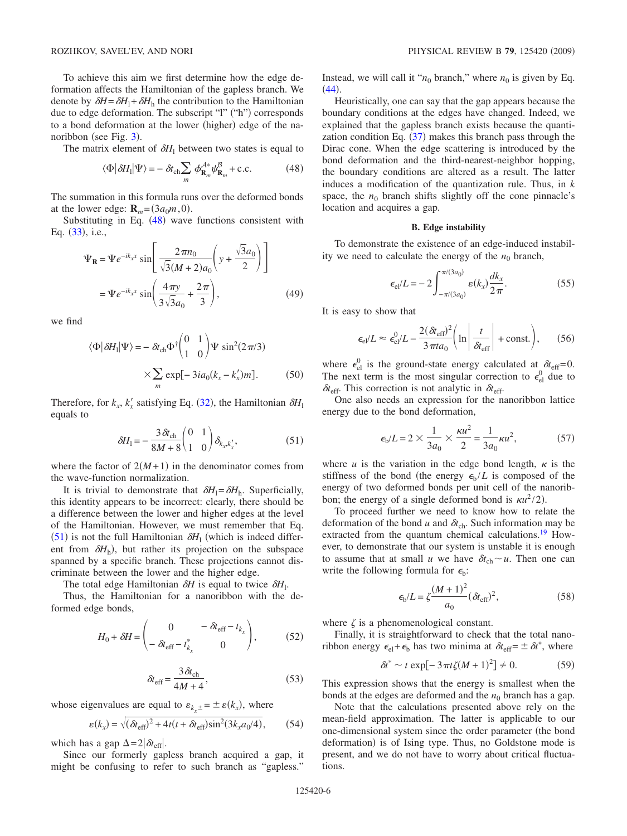To achieve this aim we first determine how the edge deformation affects the Hamiltonian of the gapless branch. We denote by  $\delta H = \delta H_1 + \delta H_h$  the contribution to the Hamiltonian due to edge deformation. The subscript "l" ("h") corresponds to a bond deformation at the lower (higher) edge of the na-noribbon (see Fig. [3](#page-3-1)).

The matrix element of  $\delta H_1$  between two states is equal to

$$
\langle \Phi | \delta H_{\rm l} | \Psi \rangle = - \delta t_{\rm ch} \sum_{m} \phi_{\mathbf{R}_{m}}^{\mathcal{A}^*} \psi_{\mathbf{R}_{m}}^{\mathcal{B}} + \text{c.c.}
$$
 (48)

<span id="page-5-0"></span>The summation in this formula runs over the deformed bonds at the lower edge:  $\mathbf{R}_m = (3a_0m, 0)$ .

Substituting in Eq.  $(48)$  $(48)$  $(48)$  wave functions consistent with Eq. ([33](#page-3-4)), i.e.,

$$
\Psi_{\mathbf{R}} = \Psi e^{-ik_{x}x} \sin \left[ \frac{2\pi n_{0}}{\sqrt{3}(M+2)a_{0}} \left( y + \frac{\sqrt{3}a_{0}}{2} \right) \right]
$$

$$
= \Psi e^{-ik_{x}x} \sin \left( \frac{4\pi y}{3\sqrt{3}a_{0}} + \frac{2\pi}{3} \right), \tag{49}
$$

we find

$$
\langle \Phi | \delta H_{\rm l} | \Psi \rangle = - \delta t_{\rm ch} \Phi^{\dagger} \begin{pmatrix} 0 & 1 \\ 1 & 0 \end{pmatrix} \Psi \sin^2(2\pi/3) \times \sum_{m} \exp[-3ia_0(k_x - k_x')m]. \tag{50}
$$

Therefore, for  $k_x$ ,  $k'_x$  satisfying Eq. ([32](#page-3-6)), the Hamiltonian  $\delta H_1$ equals to

$$
\delta H_1 = -\frac{3\,\delta t_{\rm ch}}{8M + 8} \begin{pmatrix} 0 & 1\\ 1 & 0 \end{pmatrix} \delta_{k_x, k'_x},\tag{51}
$$

<span id="page-5-1"></span>where the factor of  $2(M+1)$  in the denominator comes from the wave-function normalization.

It is trivial to demonstrate that  $\delta H_1 = \delta H_h$ . Superficially, this identity appears to be incorrect: clearly, there should be a difference between the lower and higher edges at the level of the Hamiltonian. However, we must remember that Eq.  $(51)$  $(51)$  $(51)$  is not the full Hamiltonian  $\delta H_1$  (which is indeed different from  $\delta H_h$ ), but rather its projection on the subspace spanned by a specific branch. These projections cannot discriminate between the lower and the higher edge.

The total edge Hamiltonian  $\delta H$  is equal to twice  $\delta H_1$ .

Thus, the Hamiltonian for a nanoribbon with the deformed edge bonds,

$$
H_0 + \delta H = \begin{pmatrix} 0 & -\delta t_{\text{eff}} - t_{k_x} \\ -\delta t_{\text{eff}} - t_{k_x}^* & 0 \end{pmatrix},
$$
 (52)

$$
\delta t_{\rm eff} = \frac{3 \,\delta t_{\rm ch}}{4M + 4},\tag{53}
$$

whose eigenvalues are equal to  $\varepsilon_{k_x \pm} = \pm \varepsilon(k_x)$ , where

$$
(k_x) = \sqrt{(\delta t_{\rm eff})^2 + 4t(t + \delta t_{\rm eff})\sin^2(3k_x a_0/4)},
$$
 (54)

which has a gap  $\Delta = 2|\delta t_{\text{eff}}|$ .

 *kx*-

Since our formerly gapless branch acquired a gap, it might be confusing to refer to such branch as "gapless."

Instead, we will call it " $n_0$  branch," where  $n_0$  is given by Eq.  $(44).$  $(44).$  $(44).$ 

Heuristically, one can say that the gap appears because the boundary conditions at the edges have changed. Indeed, we explained that the gapless branch exists because the quantization condition Eq.  $(37)$  $(37)$  $(37)$  makes this branch pass through the Dirac cone. When the edge scattering is introduced by the bond deformation and the third-nearest-neighbor hopping, the boundary conditions are altered as a result. The latter induces a modification of the quantization rule. Thus, in *k* space, the  $n_0$  branch shifts slightly off the cone pinnacle's location and acquires a gap.

# **B. Edge instability**

To demonstrate the existence of an edge-induced instability we need to calculate the energy of the  $n_0$  branch,

$$
\epsilon_{\rm el} / L = -2 \int_{-\pi/(3a_0)}^{\pi/(3a_0)} \varepsilon(k_x) \frac{dk_x}{2\pi}.
$$
 (55)

It is easy to show that

$$
\epsilon_{\rm el}/L \approx \epsilon_{\rm el}^0/L - \frac{2(\delta t_{\rm eff})^2}{3\pi t a_0} \left( \ln \left| \frac{t}{\delta t_{\rm eff}} \right| + \text{const.} \right), \qquad (56)
$$

where  $\epsilon_{el}^0$  is the ground-state energy calculated at  $\delta t_{eff}=0$ . The next term is the most singular correction to  $\epsilon_{el}^0$  due to  $\delta t_{\rm eff}$ . This correction is not analytic in  $\delta t_{\rm eff}$ .

One also needs an expression for the nanoribbon lattice energy due to the bond deformation,

$$
\epsilon_{\rm b}/L = 2 \times \frac{1}{3a_0} \times \frac{\kappa u^2}{2} = \frac{1}{3a_0} \kappa u^2,
$$
 (57)

where  $u$  is the variation in the edge bond length,  $\kappa$  is the stiffness of the bond (the energy  $\epsilon_{\rm b}/L$  is composed of the energy of two deformed bonds per unit cell of the nanoribbon; the energy of a single deformed bond is  $\kappa u^2/2$ ).

To proceed further we need to know how to relate the deformation of the bond *u* and  $\delta t_{ch}$ . Such information may be extracted from the quantum chemical calculations.<sup>19</sup> However, to demonstrate that our system is unstable it is enough to assume that at small *u* we have  $\delta t_{ch} \sim u$ . Then one can write the following formula for  $\epsilon_{b}$ :

$$
\epsilon_{\rm b}/L = \zeta \frac{(M+1)^2}{a_0} (\delta t_{\rm eff})^2, \tag{58}
$$

where  $\zeta$  is a phenomenological constant.

Finally, it is straightforward to check that the total nanoribbon energy  $\epsilon_{el} + \epsilon_b$  has two minima at  $\delta t_{eff} = \pm \delta t^*$ , where

$$
\delta t^* \sim t \exp[-3\pi t \zeta (M+1)^2] \neq 0. \tag{59}
$$

<span id="page-5-2"></span>This expression shows that the energy is smallest when the bonds at the edges are deformed and the  $n_0$  branch has a gap.

Note that the calculations presented above rely on the mean-field approximation. The latter is applicable to our one-dimensional system since the order parameter (the bond deformation) is of Ising type. Thus, no Goldstone mode is present, and we do not have to worry about critical fluctuations.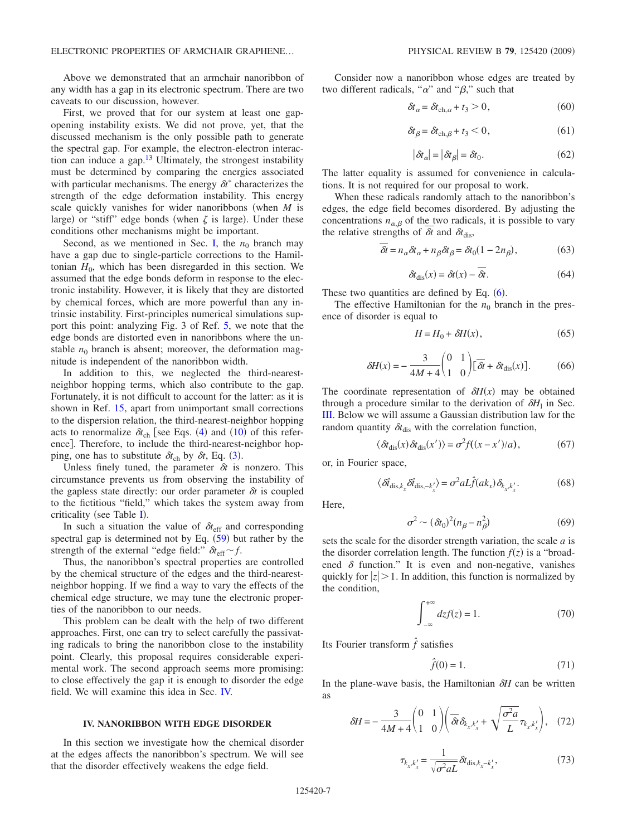Above we demonstrated that an armchair nanoribbon of any width has a gap in its electronic spectrum. There are two caveats to our discussion, however.

First, we proved that for our system at least one gapopening instability exists. We did not prove, yet, that the discussed mechanism is the only possible path to generate the spectral gap. For example, the electron-electron interaction can induce a gap. $13$  Ultimately, the strongest instability must be determined by comparing the energies associated with particular mechanisms. The energy  $\delta t^*$  characterizes the strength of the edge deformation instability. This energy scale quickly vanishes for wider nanoribbons (when *M* is large) or "stiff" edge bonds (when  $\zeta$  is large). Under these conditions other mechanisms might be important.

Second, as we mentioned in Sec. [I,](#page-0-1) the  $n_0$  branch may have a gap due to single-particle corrections to the Hamiltonian  $H_0$ , which has been disregarded in this section. We assumed that the edge bonds deform in response to the electronic instability. However, it is likely that they are distorted by chemical forces, which are more powerful than any intrinsic instability. First-principles numerical simulations support this point: analyzing Fig. 3 of Ref. [5,](#page-9-4) we note that the edge bonds are distorted even in nanoribbons where the unstable  $n_0$  branch is absent; moreover, the deformation magnitude is independent of the nanoribbon width.

In addition to this, we neglected the third-nearestneighbor hopping terms, which also contribute to the gap. Fortunately, it is not difficult to account for the latter: as it is shown in Ref. [15,](#page-9-15) apart from unimportant small corrections to the dispersion relation, the third-nearest-neighbor hopping acts to renormalize  $\delta t_{ch}$  [see Eqs. ([4](#page-1-2)) and ([10](#page-2-5)) of this reference]. Therefore, to include the third-nearest-neighbor hopping, one has to substitute  $\delta t_{ch}$  by  $\delta t$ , Eq. ([3](#page-1-0)).

Unless finely tuned, the parameter  $\delta t$  is nonzero. This circumstance prevents us from observing the instability of the gapless state directly: our order parameter  $\delta t$  is coupled to the fictitious "field," which takes the system away from criticality (see Table  $I$ ).

In such a situation the value of  $\delta t_{\text{eff}}$  and corresponding spectral gap is determined not by Eq.  $(59)$  $(59)$  $(59)$  but rather by the strength of the external "edge field:"  $\delta t_{\text{eff}} \sim f$ .

Thus, the nanoribbon's spectral properties are controlled by the chemical structure of the edges and the third-nearestneighbor hopping. If we find a way to vary the effects of the chemical edge structure, we may tune the electronic properties of the nanoribbon to our needs.

This problem can be dealt with the help of two different approaches. First, one can try to select carefully the passivating radicals to bring the nanoribbon close to the instability point. Clearly, this proposal requires considerable experimental work. The second approach seems more promising: to close effectively the gap it is enough to disorder the edge field. We will examine this idea in Sec. [IV.](#page-6-0)

### **IV. NANORIBBON WITH EDGE DISORDER**

<span id="page-6-0"></span>In this section we investigate how the chemical disorder at the edges affects the nanoribbon's spectrum. We will see that the disorder effectively weakens the edge field.

Consider now a nanoribbon whose edges are treated by two different radicals, " $\alpha$ " and " $\beta$ ," such that

$$
\delta t_{\alpha} = \delta t_{\text{ch},\alpha} + t_3 > 0, \tag{60}
$$

$$
\delta t_{\beta} = \delta t_{\text{ch},\beta} + t_3 < 0,\tag{61}
$$

$$
|\delta t_{\alpha}| = |\delta t_{\beta}| = \delta t_0. \tag{62}
$$

The latter equality is assumed for convenience in calculations. It is not required for our proposal to work.

When these radicals randomly attach to the nanoribbon's edges, the edge field becomes disordered. By adjusting the concentrations  $n_{\alpha\beta}$  of the two radicals, it is possible to vary the relative strengths of  $\delta t$  and  $\delta t_{\text{dis}}$ ,

$$
\delta t = n_{\alpha} \delta t_{\alpha} + n_{\beta} \delta t_{\beta} = \delta t_0 (1 - 2n_{\beta}),\tag{63}
$$

$$
\delta t_{\rm dis}(x) = \delta t(x) - \overline{\delta t}.\tag{64}
$$

<span id="page-6-3"></span>These two quantities are defined by Eq.  $(6)$  $(6)$  $(6)$ .

The effective Hamiltonian for the  $n_0$  branch in the presence of disorder is equal to

$$
H = H_0 + \delta H(x),\tag{65}
$$

$$
\delta H(x) = -\frac{3}{4M+4} \begin{pmatrix} 0 & 1\\ 1 & 0 \end{pmatrix} \left[ \overline{\delta t} + \delta t_{\text{dis}}(x) \right].
$$
 (66)

The coordinate representation of  $\delta H(x)$  may be obtained through a procedure similar to the derivation of  $\delta H_1$  in Sec. [III.](#page-4-0) Below we will assume a Gaussian distribution law for the random quantity  $\delta t_{\text{dis}}$  with the correlation function,

$$
\langle \delta t_{\rm dis}(x) \, \delta t_{\rm dis}(x') \rangle = \sigma^2 f((x - x')/a),\tag{67}
$$

or, in Fourier space,

$$
\langle \hat{\delta t}_{\text{dis},k_x} \hat{\delta t}_{\text{dis},-k_x'} \rangle = \sigma^2 a L \hat{f}(ak_x) \delta_{k_x, k_x'}.
$$
 (68)

Here,

$$
\sigma^2 \sim (\delta t_0)^2 (n_\beta - n_\beta^2) \tag{69}
$$

sets the scale for the disorder strength variation, the scale *a* is the disorder correlation length. The function  $f(z)$  is a "broadened  $\delta$  function." It is even and non-negative, vanishes quickly for  $|z| > 1$ . In addition, this function is normalized by the condition,

$$
\int_{-\infty}^{+\infty} dz f(z) = 1.
$$
 (70)

Its Fourier transform *f ˆ* satisfies

$$
\hat{f}(0) = 1.\tag{71}
$$

In the plane-wave basis, the Hamiltonian  $\delta H$  can be written as

<span id="page-6-2"></span><span id="page-6-1"></span>
$$
\delta H = -\frac{3}{4M+4} \begin{pmatrix} 0 & 1 \\ 1 & 0 \end{pmatrix} \left( \frac{\partial}{\partial t} \delta_{k_x, k'_x} + \sqrt{\frac{\sigma^2 a}{L}} \tau_{k_x, k'_x} \right), \quad (72)
$$

$$
\tau_{k_x, k'_x} = \frac{1}{\sqrt{\sigma^2 a L}} \delta t_{\text{dis}, k_x - k'_x},\tag{73}
$$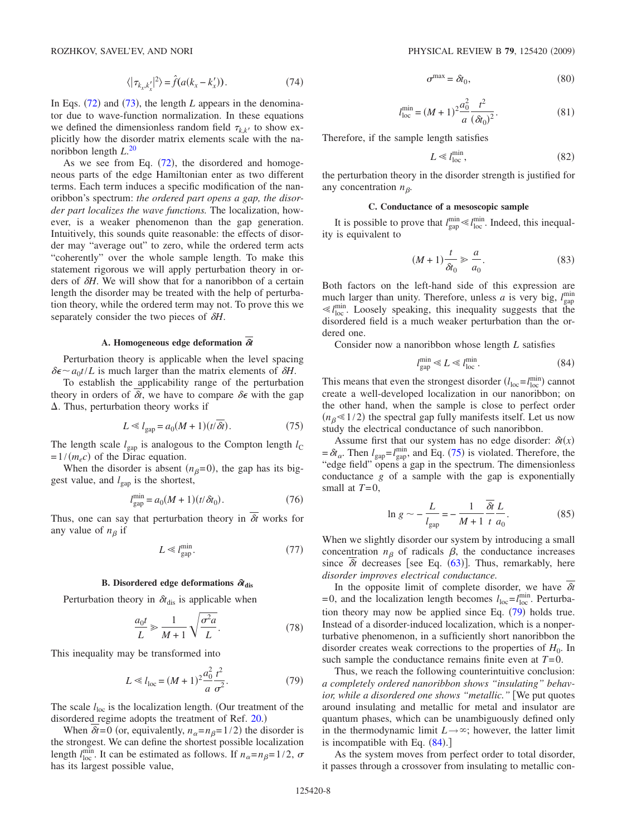$$
\sigma^{\max} = \delta t_0,\tag{80}
$$

$$
l_{\text{loc}}^{\text{min}} = (M+1)^2 \frac{a_0^2}{a} \frac{t^2}{(\delta t_0)^2}.
$$
 (81)

Therefore, if the sample length satisfies

$$
\ll l_{\text{loc}}^{\text{min}},\tag{82}
$$

the perturbation theory in the disorder strength is justified for any concentration  $n<sub>β</sub>$ .

 $L$ 

### **C. Conductance of a mesoscopic sample**

It is possible to prove that  $l_{\text{gap}}^{\min} \ll l_{\text{loc}}^{\min}$ . Indeed, this inequality is equivalent to

$$
(M+1)\frac{t}{\delta t_0} \gg \frac{a}{a_0}.\tag{83}
$$

Both factors on the left-hand side of this expression are much larger than unity. Therefore, unless *a* is very big,  $l_{\text{gap}}^{\text{min}}$  $\ll l_{\text{loc}}^{\text{min}}$ . Loosely speaking, this inequality suggests that the disordered field is a much weaker perturbation than the ordered one.

Consider now a nanoribbon whose length *L* satisfies

$$
l_{\rm gap}^{\rm min} \ll L \ll l_{\rm loc}^{\rm min}.
$$
\n(84)

<span id="page-7-2"></span>This means that even the strongest disorder  $(l_{\text{loc}} = l_{\text{loc}}^{\text{min}})$  cannot create a well-developed localization in our nanoribbon; on the other hand, when the sample is close to perfect order  $(n_\beta \leq 1/2)$  the spectral gap fully manifests itself. Let us now study the electrical conductance of such nanoribbon.

Assume first that our system has no edge disorder:  $\delta t(x)$  $=\delta t_{\alpha}$ . Then  $l_{\text{gap}} = l_{\text{gap}}^{\text{min}}$ , and Eq. ([75](#page-7-0)) is violated. Therefore, the "edge field" opens a gap in the spectrum. The dimensionless conductance *g* of a sample with the gap is exponentially small at *T*=0,

$$
\ln g \sim -\frac{L}{l_{\rm gap}} = -\frac{1}{M+1} \frac{\delta t}{t} \frac{L}{a_0}.
$$
 (85)

<span id="page-7-3"></span>When we slightly disorder our system by introducing a small concentration  $n<sub>\beta</sub>$  of radicals  $\beta$ , the conductance increases since  $\delta t$  decreases [see Eq.  $(63)$  $(63)$  $(63)$ ]. Thus, remarkably, here *disorder improves electrical conductance.*

In the opposite limit of complete disorder, we have  $\delta t$  $=0$ , and the localization length becomes  $l_{\text{loc}} = l_{\text{loc}}^{\text{min}}$ . Perturbation theory may now be applied since Eq.  $(79)$  $(79)$  $(79)$  holds true. Instead of a disorder-induced localization, which is a nonperturbative phenomenon, in a sufficiently short nanoribbon the disorder creates weak corrections to the properties of  $H_0$ . In such sample the conductance remains finite even at *T*=0.

Thus, we reach the following counterintuitive conclusion: *a completely ordered nanoribbon shows "insulating" behavior, while a disordered one shows "metallic."* [We put quotes around insulating and metallic for metal and insulator are quantum phases, which can be unambiguously defined only in the thermodynamic limit  $L \rightarrow \infty$ ; however, the latter limit is incompatible with Eq.  $(84)$  $(84)$  $(84)$ .

As the system moves from perfect order to total disorder, it passes through a crossover from insulating to metallic con-

$$
\langle |\tau_{k_x, k'_x}|^2 \rangle = \hat{f}(a(k_x - k'_x)). \tag{74}
$$

In Eqs.  $(72)$  $(72)$  $(72)$  and  $(73)$  $(73)$  $(73)$ , the length *L* appears in the denominator due to wave-function normalization. In these equations we defined the dimensionless random field  $\tau_{k,k'}$  to show explicitly how the disorder matrix elements scale with the nanoribbon length *L*. [20](#page-9-17)

As we see from Eq.  $(72)$  $(72)$  $(72)$ , the disordered and homogeneous parts of the edge Hamiltonian enter as two different terms. Each term induces a specific modification of the nanoribbon's spectrum: *the ordered part opens a gap, the disorder part localizes the wave functions.* The localization, however, is a weaker phenomenon than the gap generation. Intuitively, this sounds quite reasonable: the effects of disorder may "average out" to zero, while the ordered term acts "coherently" over the whole sample length. To make this statement rigorous we will apply perturbation theory in orders of  $\delta H$ . We will show that for a nanoribbon of a certain length the disorder may be treated with the help of perturbation theory, while the ordered term may not. To prove this we separately consider the two pieces of *H*.

# **A. Homogeneous edge deformation**  $\overline{\hat{\alpha}}$

Perturbation theory is applicable when the level spacing  $\delta \epsilon \sim a_0 t/L$  is much larger than the matrix elements of  $\delta H$ .

To establish the applicability range of the perturbation theory in orders of  $\delta t$ , we have to compare  $\delta \epsilon$  with the gap  $\Delta$ . Thus, perturbation theory works if

$$
L \ll l_{\rm gap} = a_0(M+1)(t/\delta t). \tag{75}
$$

<span id="page-7-0"></span>The length scale  $l_{\text{gap}}$  is analogous to the Compton length  $l_{\text{C}}$  $=1/(m_e c)$  of the Dirac equation.

When the disorder is absent  $(n_\beta=0)$ , the gap has its biggest value, and  $l_{\text{gap}}$  is the shortest,

$$
l_{\rm gap}^{\rm min} = a_0 (M + 1)(t/\delta t_0). \tag{76}
$$

Thus, one can say that perturbation theory in  $\overline{\delta t}$  works for any value of  $n<sub>\beta</sub>$  if

$$
L \ll l_{\rm gap}^{\rm min}.\tag{77}
$$

### **B.** Disordered edge deformations  $\delta t_{\text{dis}}$

Perturbation theory in  $\delta t_{dis}$  is applicable when

$$
\frac{a_0 t}{L} \gg \frac{1}{M+1} \sqrt{\frac{\sigma^2 a}{L}}.\tag{78}
$$

This inequality may be transformed into

$$
L \ll l_{\text{loc}} = (M+1)^2 \frac{a_0^2}{a} \frac{t^2}{\sigma^2}.
$$
 (79)

<span id="page-7-1"></span>The scale  $l_{\text{loc}}$  is the localization length. (Our treatment of the disordered regime adopts the treatment of Ref. [20.](#page-9-17))

When  $\delta t = 0$  (or, equivalently,  $n_{\alpha} = n_{\beta} = 1/2$ ) the disorder is the strongest. We can define the shortest possible localization length  $l_{\text{loc}}^{\text{min}}$ . It can be estimated as follows. If  $n_{\alpha}=n_{\beta}=1/2$ ,  $\sigma$ has its largest possible value,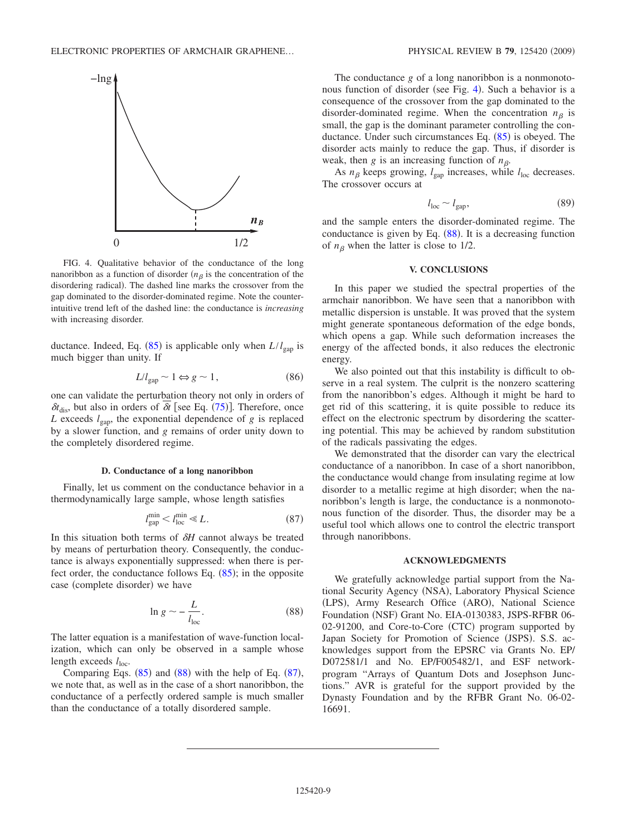<span id="page-8-3"></span>

FIG. 4. Qualitative behavior of the conductance of the long nanoribbon as a function of disorder  $(n<sub>\beta</sub>)$  is the concentration of the disordering radical). The dashed line marks the crossover from the gap dominated to the disorder-dominated regime. Note the counterintuitive trend left of the dashed line: the conductance is *increasing* with increasing disorder.

ductance. Indeed, Eq.  $(85)$  $(85)$  $(85)$  is applicable only when  $L/l_{\text{gap}}$  is much bigger than unity. If

$$
L/l_{\rm gap} \sim 1 \Leftrightarrow g \sim 1,\tag{86}
$$

one can validate the perturbation theory not only in orders of  $\delta t_{\text{dis}}$ , but also in orders of  $\delta t$  [see Eq. ([75](#page-7-0))]. Therefore, once *L* exceeds  $l_{\text{gap}}$ , the exponential dependence of *g* is replaced by a slower function, and *g* remains of order unity down to the completely disordered regime.

#### **D. Conductance of a long nanoribbon**

Finally, let us comment on the conductance behavior in a thermodynamically large sample, whose length satisfies

$$
l_{\rm gap}^{\rm min} < l_{\rm loc}^{\rm min} \ll L. \tag{87}
$$

<span id="page-8-2"></span>In this situation both terms of  $\delta H$  cannot always be treated by means of perturbation theory. Consequently, the conductance is always exponentially suppressed: when there is perfect order, the conductance follows Eq.  $(85)$  $(85)$  $(85)$ ; in the opposite case (complete disorder) we have

$$
\ln g \sim -\frac{L}{l_{\text{loc}}}.\tag{88}
$$

<span id="page-8-1"></span>The latter equation is a manifestation of wave-function localization, which can only be observed in a sample whose length exceeds  $l_{\text{loc}}$ .

Comparing Eqs.  $(85)$  $(85)$  $(85)$  and  $(88)$  $(88)$  $(88)$  with the help of Eq.  $(87)$  $(87)$  $(87)$ , we note that, as well as in the case of a short nanoribbon, the conductance of a perfectly ordered sample is much smaller than the conductance of a totally disordered sample.

The conductance *g* of a long nanoribbon is a nonmonoto-nous function of disorder (see Fig. [4](#page-8-3)). Such a behavior is a consequence of the crossover from the gap dominated to the disorder-dominated regime. When the concentration  $n<sub>\beta</sub>$  is small, the gap is the dominant parameter controlling the con-ductance. Under such circumstances Eq. ([85](#page-7-3)) is obeyed. The disorder acts mainly to reduce the gap. Thus, if disorder is weak, then *g* is an increasing function of  $n<sub>β</sub>$ .

As  $n_\beta$  keeps growing,  $l_{\text{gap}}$  increases, while  $l_{\text{loc}}$  decreases. The crossover occurs at

$$
l_{\text{loc}} \sim l_{\text{gap}},\tag{89}
$$

and the sample enters the disorder-dominated regime. The conductance is given by Eq.  $(88)$  $(88)$  $(88)$ . It is a decreasing function of  $n<sub>\beta</sub>$  when the latter is close to 1/2.

# **V. CONCLUSIONS**

<span id="page-8-0"></span>In this paper we studied the spectral properties of the armchair nanoribbon. We have seen that a nanoribbon with metallic dispersion is unstable. It was proved that the system might generate spontaneous deformation of the edge bonds, which opens a gap. While such deformation increases the energy of the affected bonds, it also reduces the electronic energy.

We also pointed out that this instability is difficult to observe in a real system. The culprit is the nonzero scattering from the nanoribbon's edges. Although it might be hard to get rid of this scattering, it is quite possible to reduce its effect on the electronic spectrum by disordering the scattering potential. This may be achieved by random substitution of the radicals passivating the edges.

We demonstrated that the disorder can vary the electrical conductance of a nanoribbon. In case of a short nanoribbon, the conductance would change from insulating regime at low disorder to a metallic regime at high disorder; when the nanoribbon's length is large, the conductance is a nonmonotonous function of the disorder. Thus, the disorder may be a useful tool which allows one to control the electric transport through nanoribbons.

### **ACKNOWLEDGMENTS**

We gratefully acknowledge partial support from the National Security Agency (NSA), Laboratory Physical Science (LPS), Army Research Office (ARO), National Science Foundation (NSF) Grant No. EIA-0130383, JSPS-RFBR 06-02-91200, and Core-to-Core (CTC) program supported by Japan Society for Promotion of Science (JSPS). S.S. acknowledges support from the EPSRC via Grants No. EP/ D072581/1 and No. EP/F005482/1, and ESF networkprogram "Arrays of Quantum Dots and Josephson Junctions." AVR is grateful for the support provided by the Dynasty Foundation and by the RFBR Grant No. 06-02- 16691.